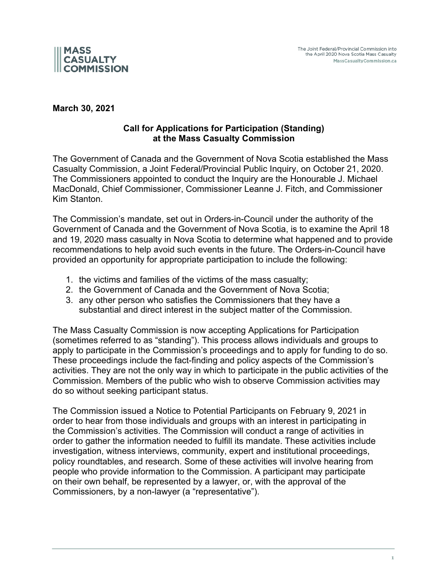

**March 30, 2021**

## **Call for Applications for Participation (Standing) at the Mass Casualty Commission**

The Government of Canada and the Government of Nova Scotia established the Mass Casualty Commission, a Joint Federal/Provincial Public Inquiry, on October 21, 2020. The Commissioners appointed to conduct the Inquiry are the Honourable J. Michael MacDonald, Chief Commissioner, Commissioner Leanne J. Fitch, and Commissioner Kim Stanton.

The Commission's mandate, set out in Orders-in-Council under the authority of the Government of Canada and the Government of Nova Scotia, is to examine the April 18 and 19, 2020 mass casualty in Nova Scotia to determine what happened and to provide recommendations to help avoid such events in the future. The Orders-in-Council have provided an opportunity for appropriate participation to include the following:

- 1. the victims and families of the victims of the mass casualty;
- 2. the Government of Canada and the Government of Nova Scotia;
- 3. any other person who satisfies the Commissioners that they have a substantial and direct interest in the subject matter of the Commission.

The Mass Casualty Commission is now accepting Applications for Participation (sometimes referred to as "standing"). This process allows individuals and groups to apply to participate in the Commission's proceedings and to apply for funding to do so. These proceedings include the fact-finding and policy aspects of the Commission's activities. They are not the only way in which to participate in the public activities of the Commission. Members of the public who wish to observe Commission activities may do so without seeking participant status.

The Commission issued a Notice to Potential Participants on February 9, 2021 in order to hear from those individuals and groups with an interest in participating in the Commission's activities. The Commission will conduct a range of activities in order to gather the information needed to fulfill its mandate. These activities include investigation, witness interviews, community, expert and institutional proceedings, policy roundtables, and research. Some of these activities will involve hearing from people who provide information to the Commission. A participant may participate on their own behalf, be represented by a lawyer, or, with the approval of the Commissioners, by a non-lawyer (a "representative").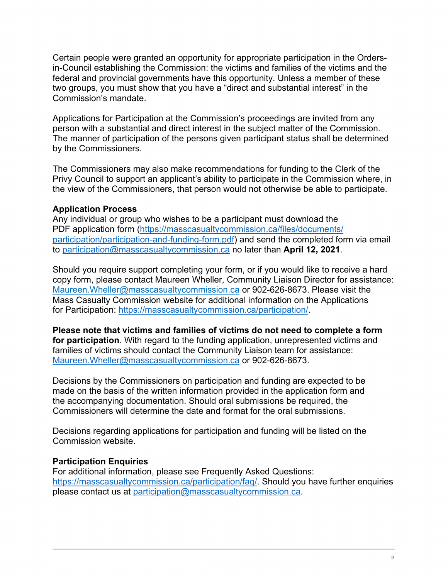Certain people were granted an opportunity for appropriate participation in the Ordersin-Council establishing the Commission: the victims and families of the victims and the federal and provincial governments have this opportunity. Unless a member of these two groups, you must show that you have a "direct and substantial interest" in the Commission's mandate.

Applications for Participation at the Commission's proceedings are invited from any person with a substantial and direct interest in the subject matter of the Commission. The manner of participation of the persons given participant status shall be determined by the Commissioners.

The Commissioners may also make recommendations for funding to the Clerk of the Privy Council to support an applicant's ability to participate in the Commission where, in the view of the Commissioners, that person would not otherwise be able to participate.

## **Application Process**

Any individual or group who wishes to be a participant must download the PDF application form (https://masscasualtycommission.ca/files/documents/ participation/participation-and-funding-form.pdf) and send the completed form via email to participation@masscasualtycommission.ca no later than **April 12, 2021**.

Should you require support completing your form, or if you would like to receive a hard copy form, please contact Maureen Wheller, Community Liaison Director for assistance: Maureen.Wheller@masscasualtycommission.ca or 902-626-8673. Please visit the Mass Casualty Commission website for additional information on the Applications for Participation: https://masscasualtycommission.ca/participation/.

**Please note that victims and families of victims do not need to complete a form for participation**. With regard to the funding application, unrepresented victims and families of victims should contact the Community Liaison team for assistance: Maureen.Wheller@masscasualtycommission.ca or 902-626-8673.

Decisions by the Commissioners on participation and funding are expected to be made on the basis of the written information provided in the application form and the accompanying documentation. Should oral submissions be required, the Commissioners will determine the date and format for the oral submissions.

Decisions regarding applications for participation and funding will be listed on the Commission website.

#### **Participation Enquiries**

For additional information, please see Frequently Asked Questions: https://masscasualtycommission.ca/participation/faq/. Should you have further enquiries please contact us at participation@masscasualtycommission.ca.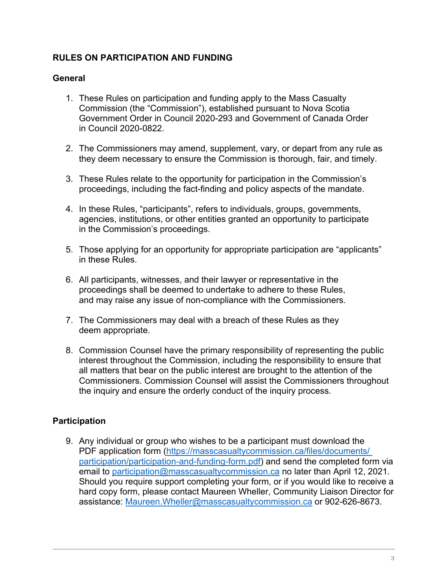# **RULES ON PARTICIPATION AND FUNDING**

# **General**

- 1. These Rules on participation and funding apply to the Mass Casualty Commission (the "Commission"), established pursuant to Nova Scotia Government Order in Council 2020-293 and Government of Canada Order in Council 2020-0822.
- 2. The Commissioners may amend, supplement, vary, or depart from any rule as they deem necessary to ensure the Commission is thorough, fair, and timely.
- 3. These Rules relate to the opportunity for participation in the Commission's proceedings, including the fact-finding and policy aspects of the mandate.
- 4. In these Rules, "participants", refers to individuals, groups, governments, agencies, institutions, or other entities granted an opportunity to participate in the Commission's proceedings.
- 5. Those applying for an opportunity for appropriate participation are "applicants" in these Rules.
- 6. All participants, witnesses, and their lawyer or representative in the proceedings shall be deemed to undertake to adhere to these Rules, and may raise any issue of non-compliance with the Commissioners.
- 7. The Commissioners may deal with a breach of these Rules as they deem appropriate.
- 8. Commission Counsel have the primary responsibility of representing the public interest throughout the Commission, including the responsibility to ensure that all matters that bear on the public interest are brought to the attention of the Commissioners. Commission Counsel will assist the Commissioners throughout the inquiry and ensure the orderly conduct of the inquiry process.

# **Participation**

9. Any individual or group who wishes to be a participant must download the PDF application form (https://masscasualtycommission.ca/files/documents/ participation/participation-and-funding-form.pdf) and send the completed form via email to participation@masscasualtycommission.ca no later than April 12, 2021. Should you require support completing your form, or if you would like to receive a hard copy form, please contact Maureen Wheller, Community Liaison Director for assistance: Maureen.Wheller@masscasualtycommission.ca or 902-626-8673.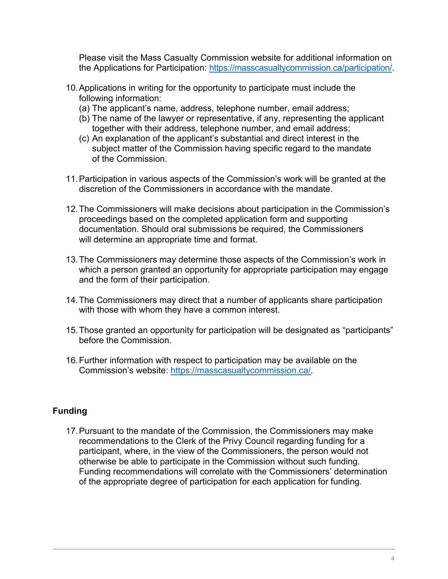Please visit the Mass Casualty Commission website for additional information on the Applications for Participation: https://masscasualtycommission.ca/participation/.

- 10.Applications in writing for the opportunity to participate must include the following information:
	- (a) The applicant's name, address, telephone number, email address;
	- (b) The name of the lawyer or representative, if any, representing the applicant together with their address, telephone number, and email address;
	- (c) An explanation of the applicant's substantial and direct interest in the subiect matter of the Commission having specific regard to the mandate of the Commission.
- 11.Participation in various aspects of the Commission's work will be granted at the discretion of the Commissioners in accordance with the mandate.
- 12.The Commissioners will make decisions about participation in the Commission's proceedings based on the completed application form and supporting documentation. Should oral submissions be required, the Commissioners will determine an appropriate time and format.
- 13.The Commissioners may determine those aspects of the Commission's work in which a person granted an opportunity for appropriate participation may engage and the form of their participation.
- 14.The Commissioners may direct that a number of applicants share participation with those with whom they have a common interest.
- 15.Those granted an opportunity for participation will be designated as "participants" before the Commission.
- 16.Further information with respect to participation may be available on the Commission's website: https://masscasualtycommission.ca/.

# **Funding**

17.Pursuant to the mandate of the Commission, the Commissioners may make recommendations to the Clerk of the Privy Council regarding funding for a participant, where, in the view of the Commissioners, the person would not otherwise be able to participate in the Commission without such funding. Funding recommendations will correlate with the Commissioners' determination of the appropriate degree of participation for each application for funding.